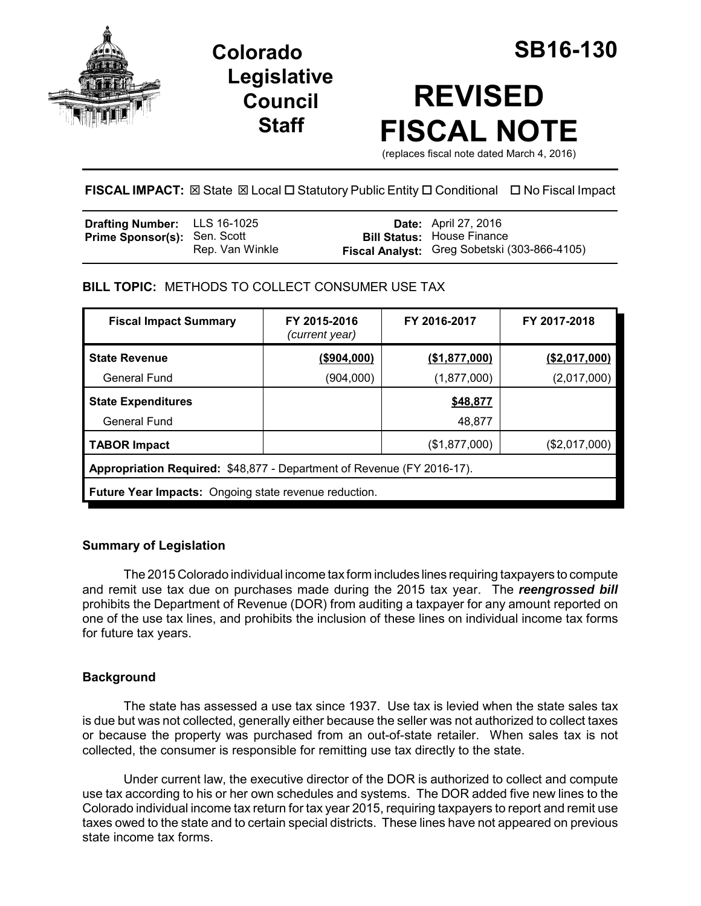

**Legislative Council Staff**

# **REVISED FISCAL NOTE**

(replaces fiscal note dated March 4, 2016)

**FISCAL IMPACT:** ⊠ State ⊠ Local □ Statutory Public Entity □ Conditional □ No Fiscal Impact

| <b>Drafting Number:</b> LLS 16-1025 |                 | <b>Date:</b> April 27, 2016                  |
|-------------------------------------|-----------------|----------------------------------------------|
| <b>Prime Sponsor(s): Sen. Scott</b> |                 | <b>Bill Status: House Finance</b>            |
|                                     | Rep. Van Winkle | Fiscal Analyst: Greg Sobetski (303-866-4105) |

**BILL TOPIC:** METHODS TO COLLECT CONSUMER USE TAX

| <b>Fiscal Impact Summary</b>                                           | FY 2015-2016<br>(current year) | FY 2016-2017  | FY 2017-2018   |  |
|------------------------------------------------------------------------|--------------------------------|---------------|----------------|--|
| <b>State Revenue</b>                                                   | (\$904,000)                    | (\$1,877,000) | ( \$2,017,000) |  |
| General Fund                                                           | (904,000)                      | (1,877,000)   | (2,017,000)    |  |
| <b>State Expenditures</b>                                              |                                | \$48,877      |                |  |
| General Fund                                                           |                                | 48,877        |                |  |
| <b>TABOR Impact</b>                                                    |                                | (\$1,877,000) | (\$2,017,000)  |  |
| Appropriation Required: \$48,877 - Department of Revenue (FY 2016-17). |                                |               |                |  |
| <b>Future Year Impacts:</b> Ongoing state revenue reduction.           |                                |               |                |  |

# **Summary of Legislation**

The 2015 Colorado individual income tax form includes lines requiring taxpayers to compute and remit use tax due on purchases made during the 2015 tax year. The *reengrossed bill* prohibits the Department of Revenue (DOR) from auditing a taxpayer for any amount reported on one of the use tax lines, and prohibits the inclusion of these lines on individual income tax forms for future tax years.

# **Background**

The state has assessed a use tax since 1937. Use tax is levied when the state sales tax is due but was not collected, generally either because the seller was not authorized to collect taxes or because the property was purchased from an out-of-state retailer. When sales tax is not collected, the consumer is responsible for remitting use tax directly to the state.

Under current law, the executive director of the DOR is authorized to collect and compute use tax according to his or her own schedules and systems. The DOR added five new lines to the Colorado individual income tax return for tax year 2015, requiring taxpayers to report and remit use taxes owed to the state and to certain special districts. These lines have not appeared on previous state income tax forms.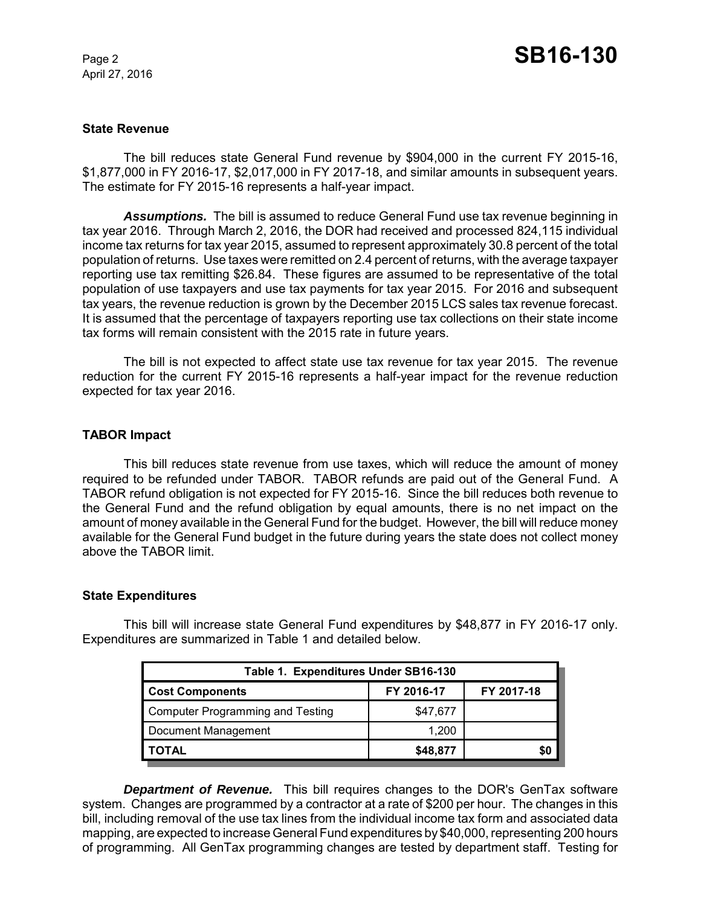April 27, 2016

# **State Revenue**

The bill reduces state General Fund revenue by \$904,000 in the current FY 2015-16, \$1,877,000 in FY 2016-17, \$2,017,000 in FY 2017-18, and similar amounts in subsequent years. The estimate for FY 2015-16 represents a half-year impact.

*Assumptions.* The bill is assumed to reduce General Fund use tax revenue beginning in tax year 2016. Through March 2, 2016, the DOR had received and processed 824,115 individual income tax returns for tax year 2015, assumed to represent approximately 30.8 percent of the total population of returns. Use taxes were remitted on 2.4 percent of returns, with the average taxpayer reporting use tax remitting \$26.84. These figures are assumed to be representative of the total population of use taxpayers and use tax payments for tax year 2015. For 2016 and subsequent tax years, the revenue reduction is grown by the December 2015 LCS sales tax revenue forecast. It is assumed that the percentage of taxpayers reporting use tax collections on their state income tax forms will remain consistent with the 2015 rate in future years.

The bill is not expected to affect state use tax revenue for tax year 2015. The revenue reduction for the current FY 2015-16 represents a half-year impact for the revenue reduction expected for tax year 2016.

# **TABOR Impact**

This bill reduces state revenue from use taxes, which will reduce the amount of money required to be refunded under TABOR. TABOR refunds are paid out of the General Fund. A TABOR refund obligation is not expected for FY 2015-16. Since the bill reduces both revenue to the General Fund and the refund obligation by equal amounts, there is no net impact on the amount of money available in the General Fund for the budget. However, the bill will reduce money available for the General Fund budget in the future during years the state does not collect money above the TABOR limit.

## **State Expenditures**

This bill will increase state General Fund expenditures by \$48,877 in FY 2016-17 only. Expenditures are summarized in Table 1 and detailed below.

| Table 1. Expenditures Under SB16-130    |            |            |  |  |
|-----------------------------------------|------------|------------|--|--|
| <b>Cost Components</b>                  | FY 2016-17 | FY 2017-18 |  |  |
| <b>Computer Programming and Testing</b> | \$47,677   |            |  |  |
| Document Management                     | 1.200      |            |  |  |
| <b>TOTAL</b>                            | \$48,877   | \$0        |  |  |

*Department of Revenue.* This bill requires changes to the DOR's GenTax software system. Changes are programmed by a contractor at a rate of \$200 per hour. The changes in this bill, including removal of the use tax lines from the individual income tax form and associated data mapping, are expected to increase General Fund expenditures by \$40,000, representing 200 hours of programming. All GenTax programming changes are tested by department staff. Testing for